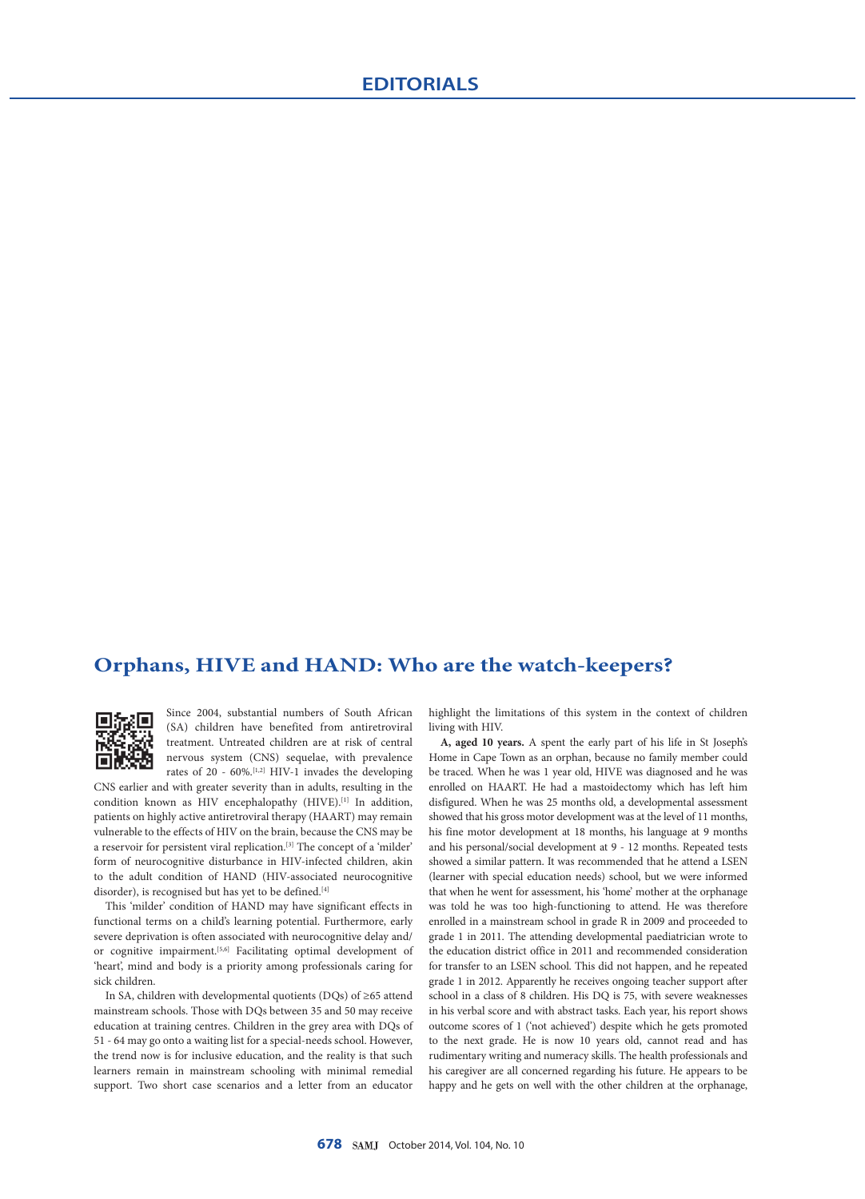# **Orphans, HIVE and HAND: Who are the watch-keepers?**



Since 2004, substantial numbers of South African (SA) children have benefited from antiretroviral treatment. Untreated children are at risk of central nervous system (CNS) sequelae, with prevalence rates of 20 -  $60\%$ .<sup>[1,2]</sup> HIV-1 invades the developing

CNS earlier and with greater severity than in adults, resulting in the condition known as HIV encephalopathy (HIVE).<sup>[1]</sup> In addition, patients on highly active antiretroviral therapy (HAART) may remain vulnerable to the effects of HIV on the brain, because the CNS may be a reservoir for persistent viral replication.[3] The concept of a 'milder' form of neurocognitive disturbance in HIV-infected children, akin to the adult condition of HAND (HIV-associated neurocognitive disorder), is recognised but has yet to be defined.<sup>[4]</sup>

This 'milder' condition of HAND may have significant effects in functional terms on a child's learning potential. Furthermore, early severe deprivation is often associated with neurocognitive delay and/ or cognitive impairment.<sup>[5,6]</sup> Facilitating optimal development of 'heart', mind and body is a priority among professionals caring for sick children.

In SA, children with developmental quotients (DQs) of ≥65 attend mainstream schools. Those with DQs between 35 and 50 may receive education at training centres. Children in the grey area with DQs of 51 - 64 may go onto a waiting list for a special-needs school. However, the trend now is for inclusive education, and the reality is that such learners remain in mainstream schooling with minimal remedial support. Two short case scenarios and a letter from an educator

highlight the limitations of this system in the context of children living with HIV.

**A, aged 10 years.** A spent the early part of his life in St Joseph's Home in Cape Town as an orphan, because no family member could be traced*.* When he was 1 year old, HIVE was diagnosed and he was enrolled on HAART. He had a mastoidectomy which has left him disfigured. When he was 25 months old, a developmental assessment showed that his gross motor development was at the level of 11 months, his fine motor development at 18 months, his language at 9 months and his personal/social development at 9 - 12 months. Repeated tests showed a similar pattern. It was recommended that he attend a LSEN (learner with special education needs) school, but we were informed that when he went for assessment, his 'home' mother at the orphanage was told he was too high-functioning to attend. He was therefore enrolled in a mainstream school in grade R in 2009 and proceeded to grade 1 in 2011. The attending developmental paediatrician wrote to the education district office in 2011 and recommended consideration for transfer to an LSEN school. This did not happen, and he repeated grade 1 in 2012. Apparently he receives ongoing teacher support after school in a class of 8 children. His DQ is 75, with severe weaknesses in his verbal score and with abstract tasks. Each year, his report shows outcome scores of 1 ('not achieved') despite which he gets promoted to the next grade. He is now 10 years old, cannot read and has rudimentary writing and numeracy skills. The health professionals and his caregiver are all concerned regarding his future. He appears to be happy and he gets on well with the other children at the orphanage,